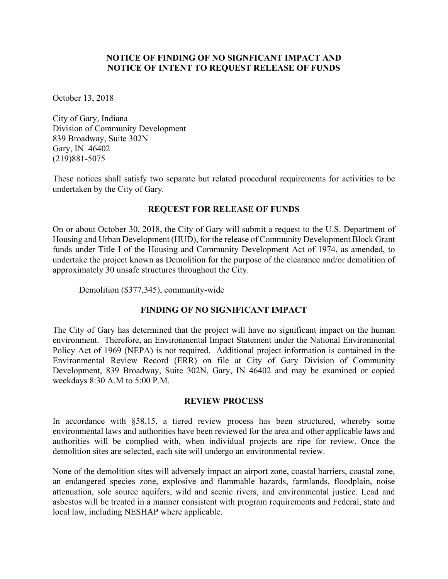## **NOTICE OF FINDING OF NO SIGNFICANT IMPACT AND NOTICE OF INTENT TO REQUEST RELEASE OF FUNDS**

October 13, 2018

City of Gary, Indiana Division of Community Development 839 Broadway, Suite 302N Gary, IN 46402 (219)881-5075

These notices shall satisfy two separate but related procedural requirements for activities to be undertaken by the City of Gary*.*

# **REQUEST FOR RELEASE OF FUNDS**

On or about October 30, 2018, the City of Gary will submit a request to the U.S. Department of Housing and Urban Development (HUD), for the release of Community Development Block Grant funds under Title I of the Housing and Community Development Act of 1974, as amended, to undertake the project known as Demolition for the purpose of the clearance and/or demolition of approximately 30 unsafe structures throughout the City.

Demolition (\$377,345), community-wide

# **FINDING OF NO SIGNIFICANT IMPACT**

The City of Gary has determined that the project will have no significant impact on the human environment. Therefore, an Environmental Impact Statement under the National Environmental Policy Act of 1969 (NEPA) is not required. Additional project information is contained in the Environmental Review Record (ERR) on file at City of Gary Division of Community Development, 839 Broadway, Suite 302N, Gary, IN 46402 and may be examined or copied weekdays 8:30 A.M to 5:00 P.M.

#### **REVIEW PROCESS**

In accordance with §58.15, a tiered review process has been structured, whereby some environmental laws and authorities have been reviewed for the area and other applicable laws and authorities will be complied with, when individual projects are ripe for review. Once the demolition sites are selected, each site will undergo an environmental review.

None of the demolition sites will adversely impact an airport zone, coastal barriers, coastal zone, an endangered species zone, explosive and flammable hazards, farmlands, floodplain, noise attenuation, sole source aquifers, wild and scenic rivers, and environmental justice. Lead and asbestos will be treated in a manner consistent with program requirements and Federal, state and local law, including NESHAP where applicable.